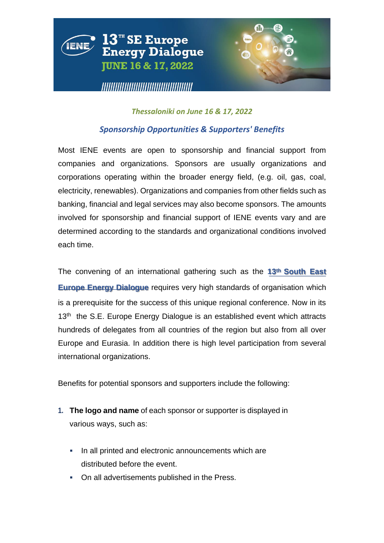

## *Thessaloniki on June 16 & 17, 2022*

# *Sponsorship Opportunities & Supporters' Benefits*

Most IENE events are open to sponsorship and financial support from companies and organizations. Sponsors are usually organizations and corporations operating within the broader energy field, (e.g. oil, gas, coal, electricity, renewables). Organizations and companies from other fields such as banking, financial and legal services may also become sponsors. The amounts involved for sponsorship and financial support of IENE events vary and are determined according to the standards and organizational conditions involved each time.

The convening of an international gathering such as the **13th South East Europe Energy Dialogue** requires very high standards of organisation which is a prerequisite for the success of this unique regional conference. Now in its 13<sup>th</sup> the S.E. Europe Energy Dialogue is an established event which attracts hundreds of delegates from all countries of the region but also from all over Europe and Eurasia. In addition there is high level participation from several international organizations.

Benefits for potential sponsors and supporters include the following:

- **1. The logo and name** of each sponsor or supporter is displayed in various ways, such as:
	- In all printed and electronic announcements which are distributed before the event.
	- On all advertisements published in the Press.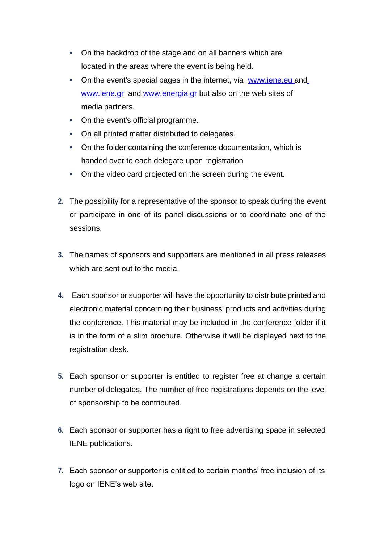- On the backdrop of the stage and on all banners which are located in the areas where the event is being held.
- On the event's special pages in the internet, via www.iene.eu an[d](http://www.iene.gr/) [www.iene.gr](http://www.iene.gr/) and [www.energia.gr](http://www.energia.gr/) but also on the web sites of media partners.
- On the event's official programme.
- On all printed matter distributed to delegates.
- On the folder containing the conference documentation, which is handed over to each delegate upon registration
- On the video card projected on the screen during the event.
- **2.** The possibility for a representative of the sponsor to speak during the event or participate in one of its panel discussions or to coordinate one of the sessions.
- **3.** The names of sponsors and supporters are mentioned in all press releases which are sent out to the media.
- **4.** Each sponsor or supporter will have the opportunity to distribute printed and electronic material concerning their business' products and activities during the conference. This material may be included in the conference folder if it is in the form of a slim brochure. Otherwise it will be displayed next to the registration desk.
- **5.** Each sponsor or supporter is entitled to register free at change a certain number of delegates. The number of free registrations depends on the level of sponsorship to be contributed.
- **6.** Each sponsor or supporter has a right to free advertising space in selected IENE publications.
- **7.** Each sponsor or supporter is entitled to certain months' free inclusion of its logo on IENE's web site.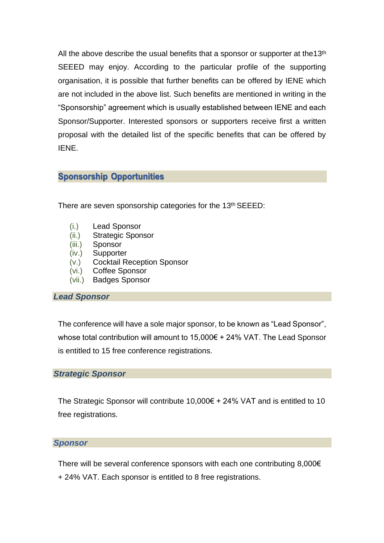All the above describe the usual benefits that a sponsor or supporter at the13<sup>th</sup> SEEED may enjoy. According to the particular profile of the supporting organisation, it is possible that further benefits can be offered by IENE which are not included in the above list. Such benefits are mentioned in writing in the "Sponsorship" agreement which is usually established between IENE and each Sponsor/Supporter. Interested sponsors or supporters receive first a written proposal with the detailed list of the specific benefits that can be offered by IENE.

# **Sponsorship Opportunities**

There are seven sponsorship categories for the 13<sup>th</sup> SEEED:

- (i.) Lead Sponsor
- (ii.) Strategic Sponsor
- (iii.) Sponsor
- (iv.) Supporter
- (v.) Cocktail Reception Sponsor
- (vi.) Coffee Sponsor
- (vii.) Badges Sponsor

#### *Lead Sponsor*

The conference will have a sole major sponsor, to be known as "Lead Sponsor", whose total contribution will amount to 15,000€ + 24% VAT. The Lead Sponsor is entitled to 15 free conference registrations.

#### *Strategic Sponsor*

The Strategic Sponsor will contribute  $10,000 \in +24\%$  VAT and is entitled to 10 free registrations.

#### *Sponsor*

There will be several conference sponsors with each one contributing 8,000€ + 24% VAT. Each sponsor is entitled to 8 free registrations.